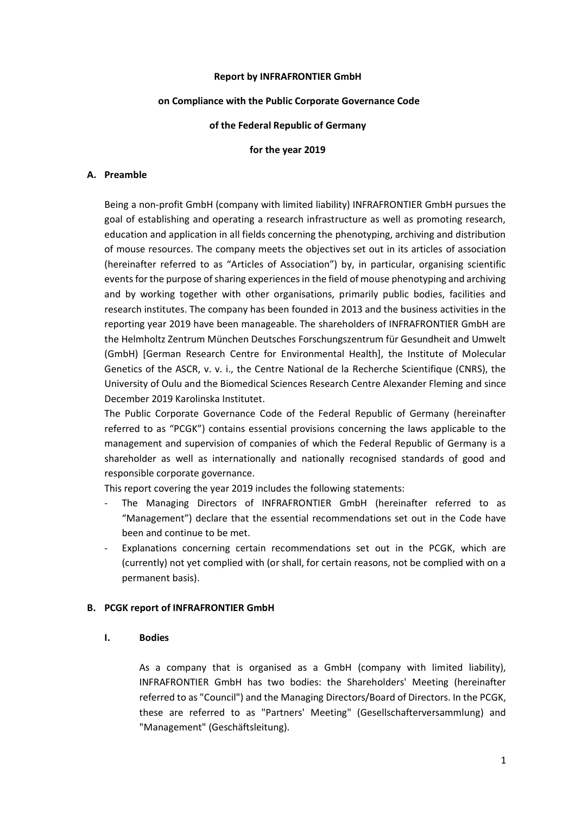### **Report by INFRAFRONTIER GmbH**

#### **on Compliance with the Public Corporate Governance Code**

### **of the Federal Republic of Germany**

### **for the year 2019**

### **A. Preamble**

Being a non-profit GmbH (company with limited liability) INFRAFRONTIER GmbH pursues the goal of establishing and operating a research infrastructure as well as promoting research, education and application in all fields concerning the phenotyping, archiving and distribution of mouse resources. The company meets the objectives set out in its articles of association (hereinafter referred to as "Articles of Association") by, in particular, organising scientific events for the purpose of sharing experiences in the field of mouse phenotyping and archiving and by working together with other organisations, primarily public bodies, facilities and research institutes. The company has been founded in 2013 and the business activities in the reporting year 2019 have been manageable. The shareholders of INFRAFRONTIER GmbH are the Helmholtz Zentrum München Deutsches Forschungszentrum für Gesundheit and Umwelt (GmbH) [German Research Centre for Environmental Health], the Institute of Molecular Genetics of the ASCR, v. v. i., the Centre National de la Recherche Scientifique (CNRS), the University of Oulu and the Biomedical Sciences Research Centre Alexander Fleming and since December 2019 Karolinska Institutet.

The Public Corporate Governance Code of the Federal Republic of Germany (hereinafter referred to as "PCGK") contains essential provisions concerning the laws applicable to the management and supervision of companies of which the Federal Republic of Germany is a shareholder as well as internationally and nationally recognised standards of good and responsible corporate governance.

This report covering the year 2019 includes the following statements:

- The Managing Directors of INFRAFRONTIER GmbH (hereinafter referred to as "Management") declare that the essential recommendations set out in the Code have been and continue to be met.
- Explanations concerning certain recommendations set out in the PCGK, which are (currently) not yet complied with (or shall, for certain reasons, not be complied with on a permanent basis).

### **B. PCGK report of INFRAFRONTIER GmbH**

#### **I. Bodies**

As a company that is organised as a GmbH (company with limited liability), INFRAFRONTIER GmbH has two bodies: the Shareholders' Meeting (hereinafter referred to as "Council") and the Managing Directors/Board of Directors. In the PCGK, these are referred to as "Partners' Meeting" (Gesellschafterversammlung) and "Management" (Geschäftsleitung).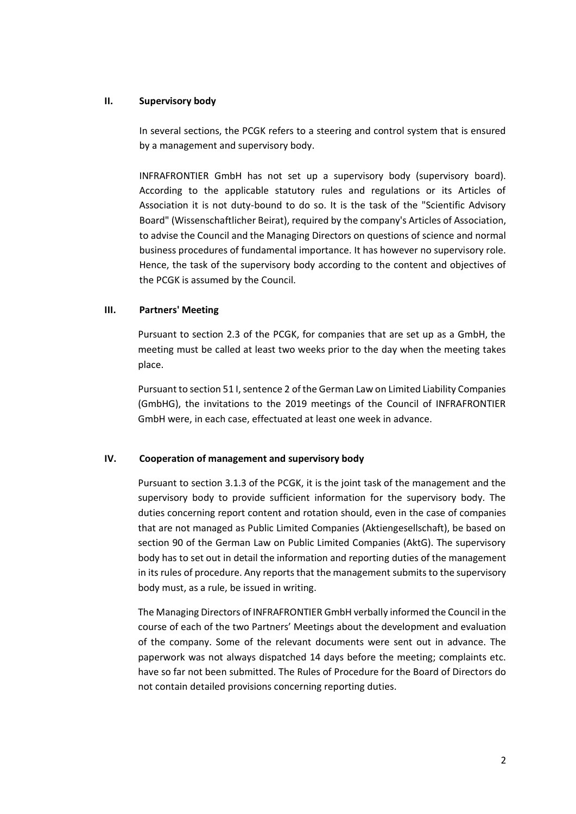# **II. Supervisory body**

In several sections, the PCGK refers to a steering and control system that is ensured by a management and supervisory body.

INFRAFRONTIER GmbH has not set up a supervisory body (supervisory board). According to the applicable statutory rules and regulations or its Articles of Association it is not duty-bound to do so. It is the task of the "Scientific Advisory Board" (Wissenschaftlicher Beirat), required by the company's Articles of Association, to advise the Council and the Managing Directors on questions of science and normal business procedures of fundamental importance. It has however no supervisory role. Hence, the task of the supervisory body according to the content and objectives of the PCGK is assumed by the Council.

# **III. Partners' Meeting**

Pursuant to section 2.3 of the PCGK, for companies that are set up as a GmbH, the meeting must be called at least two weeks prior to the day when the meeting takes place.

Pursuant to section 51 I, sentence 2 of the German Law on Limited Liability Companies (GmbHG), the invitations to the 2019 meetings of the Council of INFRAFRONTIER GmbH were, in each case, effectuated at least one week in advance.

# **IV. Cooperation of management and supervisory body**

Pursuant to section 3.1.3 of the PCGK, it is the joint task of the management and the supervisory body to provide sufficient information for the supervisory body. The duties concerning report content and rotation should, even in the case of companies that are not managed as Public Limited Companies (Aktiengesellschaft), be based on section 90 of the German Law on Public Limited Companies (AktG). The supervisory body has to set out in detail the information and reporting duties of the management in its rules of procedure. Any reports that the management submits to the supervisory body must, as a rule, be issued in writing.

The Managing Directors of INFRAFRONTIER GmbH verbally informed the Council in the course of each of the two Partners' Meetings about the development and evaluation of the company. Some of the relevant documents were sent out in advance. The paperwork was not always dispatched 14 days before the meeting; complaints etc. have so far not been submitted. The Rules of Procedure for the Board of Directors do not contain detailed provisions concerning reporting duties.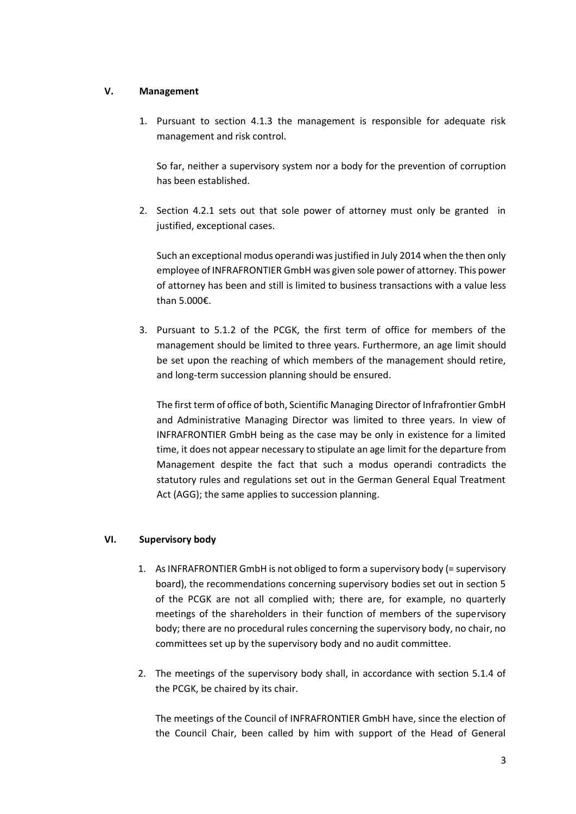# **V. Management**

1. Pursuant to section 4.1.3 the management is responsible for adequate risk management and risk control.

So far, neither a supervisory system nor a body for the prevention of corruption has been established.

2. Section 4.2.1 sets out that sole power of attorney must only be granted in justified, exceptional cases.

Such an exceptional modus operandi was justified in July 2014 when the then only employee of INFRAFRONTIER GmbH was given sole power of attorney. This power of attorney has been and still is limited to business transactions with a value less than 5.000€.

3. Pursuant to 5.1.2 of the PCGK, the first term of office for members of the management should be limited to three years. Furthermore, an age limit should be set upon the reaching of which members of the management should retire, and long-term succession planning should be ensured.

The first term of office of both, Scientific Managing Director of Infrafrontier GmbH and Administrative Managing Director was limited to three years. In view of INFRAFRONTIER GmbH being as the case may be only in existence for a limited time, it does not appear necessary to stipulate an age limit for the departure from Management despite the fact that such a modus operandi contradicts the statutory rules and regulations set out in the German General Equal Treatment Act (AGG); the same applies to succession planning.

## **VI. Supervisory body**

- 1. As INFRAFRONTIER GmbH is not obliged to form a supervisory body (= supervisory board), the recommendations concerning supervisory bodies set out in section 5 of the PCGK are not all complied with; there are, for example, no quarterly meetings of the shareholders in their function of members of the supervisory body; there are no procedural rules concerning the supervisory body, no chair, no committees set up by the supervisory body and no audit committee.
- 2. The meetings of the supervisory body shall, in accordance with section 5.1.4 of the PCGK, be chaired by its chair.

The meetings of the Council of INFRAFRONTIER GmbH have, since the election of the Council Chair, been called by him with support of the Head of General